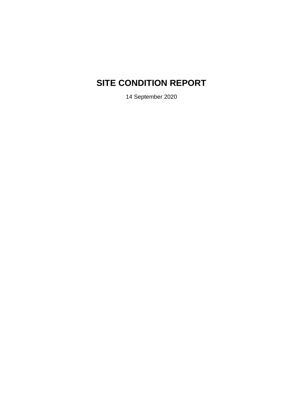# **SITE CONDITION REPORT**

14 September 2020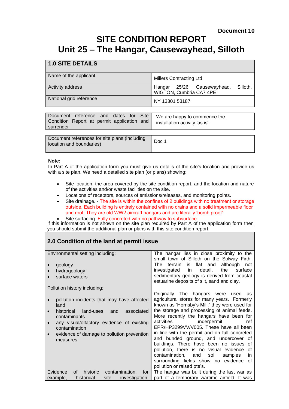## **SITE CONDITION REPORT Unit 25 – The Hangar, Causewayhead, Silloth**

## **1.0 SITE DETAILS**

| Name of the applicant   | <b>Millers Contracting Ltd</b>                                     |  |  |
|-------------------------|--------------------------------------------------------------------|--|--|
| <b>Activity address</b> | Silloth.<br>Hangar 25/26, Causewayhead,<br>WIGTON, Cumbria CA7 4PE |  |  |
| National grid reference | NY 13301 53187                                                     |  |  |

| surrender |
|-----------|
|-----------|

| Document references for site plans (including<br>location and boundaries) | Doc 1 |
|---------------------------------------------------------------------------|-------|
|                                                                           |       |

#### **Note:**

In Part A of the application form you must give us details of the site's location and provide us with a site plan. We need a detailed site plan (or plans) showing:

- Site location, the area covered by the site condition report, and the location and nature of the activities and/or waste facilities on the site.
- Locations of receptors, sources of emissions/releases, and monitoring points.
- Site drainage. The site is within the confines of 2 buildings with no treatment or storage outside. Each building is entirely contained with no drains and a solid impermeable floor and roof. They are old WW2 aircraft hangars and are literally 'bomb proof'
- Site surfacing. Fully concreted with no pathway to subsurface

If this information is not shown on the site plan required by Part A of the application form then you should submit the additional plan or plans with this site condition report.

## **2.0 Condition of the land at permit issue**

| Environmental setting including:<br>geology<br>hydrogeology<br>surface waters                                                                                                                                                                                        | The hangar lies in close proximity to the<br>small town of Silloth on the Solway Firth.<br>flat and<br>although not<br>terrain<br>The<br>is<br>investigated<br>in<br>detail,<br>the<br>surface<br>sedimentary geology is derived from coastal<br>estuarine deposits of silt, sand and clay.                                                                                                                                                                                                                                                                                                                                    |
|----------------------------------------------------------------------------------------------------------------------------------------------------------------------------------------------------------------------------------------------------------------------|--------------------------------------------------------------------------------------------------------------------------------------------------------------------------------------------------------------------------------------------------------------------------------------------------------------------------------------------------------------------------------------------------------------------------------------------------------------------------------------------------------------------------------------------------------------------------------------------------------------------------------|
| Pollution history including:<br>pollution incidents that may have affected<br>land<br>historical land-uses and<br>associated<br>contaminants<br>any visual/olfactory evidence of existing<br>contamination<br>evidence of damage to pollution prevention<br>measures | Originally The hangars were used<br>as<br>agricultural stores for many years. Formerly<br>known as 'Hornsby's Mill,' they were used for<br>the storage and processing of animal feeds.<br>More recently the hangars have been for<br>activities<br>underpermit<br>ref<br>EPR/HP3299VV/V005. These have all been<br>in line with the permit and on full concreted<br>and bunded ground, and undercover of<br>buildings. There have been no issues of<br>pollution, there is no visual evidence<br>οf<br>contamination, and<br>soil<br>samples<br>in.<br>surrounding fields show no evidence<br>0t<br>pollution or raised pte's. |
| contamination,<br>historic<br>Evidence<br>0f<br>for<br>historical<br>example,<br>site<br>investigation,                                                                                                                                                              | The hangar was built during the last war as<br>part of a temporary wartime airfield. It was                                                                                                                                                                                                                                                                                                                                                                                                                                                                                                                                    |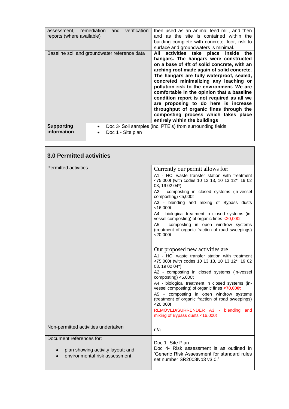| and verification<br>assessment, remediation<br>reports (where available) | then used as an animal feed mill, and then<br>and as the site is contained within the<br>building complete with concrete floor, risk to<br>surface and groundwaters is minimal.                                                                                                                                                                                                                                                                                                                                                                                           |
|--------------------------------------------------------------------------|---------------------------------------------------------------------------------------------------------------------------------------------------------------------------------------------------------------------------------------------------------------------------------------------------------------------------------------------------------------------------------------------------------------------------------------------------------------------------------------------------------------------------------------------------------------------------|
| Baseline soil and groundwater reference data                             | activities take place inside the<br>All<br>hangars. The hangars were constructed<br>on a base of 4ft of solid concrete, with an<br>arching roof made again of solid concrete.<br>The hangars are fully waterproof, sealed,<br>concreted minimalizing any leaching or<br>pollution risk to the environment. We are<br>comfortable in the opinion that a baseline<br>condition report is not required as all we<br>are proposing to do here is increase<br>throughput of organic fines through the<br>composting process which takes place<br>entirely within the buildings |
| <b>Supporting</b><br>information<br>Doc 1 - Site plan                    | Doc 3- Soil samples (inc. PTE's) from surrounding fields                                                                                                                                                                                                                                                                                                                                                                                                                                                                                                                  |

┓

<u> Tanzania (h. 1878).</u>

| <b>3.0 Permitted activities</b>                                                                 |                                                                                                                                                                                                                                                                                                                                                                                                                                                                                                                                                                                                                                                                                                                                                                                                                                                                                                                                                                                                                                                |
|-------------------------------------------------------------------------------------------------|------------------------------------------------------------------------------------------------------------------------------------------------------------------------------------------------------------------------------------------------------------------------------------------------------------------------------------------------------------------------------------------------------------------------------------------------------------------------------------------------------------------------------------------------------------------------------------------------------------------------------------------------------------------------------------------------------------------------------------------------------------------------------------------------------------------------------------------------------------------------------------------------------------------------------------------------------------------------------------------------------------------------------------------------|
| <b>Permitted activities</b>                                                                     | Currently our permit allows for:<br>A1 - HCI waste transfer station with treatment<br><75,000t (with codes 10 13 13, 10 13 12*, 19 02<br>03, 19 02 04*)<br>A2 - composting in closed systems (in-vessel<br>composting) $<$ 5,000t<br>A3 - blending and mixing of Bypass dusts<br>$<$ 16,000t<br>A4 - biological treatment in closed systems (in-<br>vessel composting) of organic fines <20,000t<br>A5 - composting in open windrow systems<br>(treatment of organic fraction of road sweepings)<br>$<$ 20,000t<br>Our proposed new activities are.<br>A1 - HCI waste transfer station with treatment<br><75,000t (with codes 10 13 13, 10 13 12*, 19 02<br>03, 19 02 04*)<br>A2 - composting in closed systems (in-vessel<br>composting) <5,000t<br>A4 - biological treatment in closed systems (in-<br>vessel composting) of organic fines <70,000t<br>A5 - composting in open windrow systems<br>(treatment of organic fraction of road sweepings)<br>$<$ 20,000t<br>REMOVED/SURRENDER A3 - blending and<br>mixing of Bypass dusts <16,000t |
| Non-permitted activities undertaken                                                             | n/a                                                                                                                                                                                                                                                                                                                                                                                                                                                                                                                                                                                                                                                                                                                                                                                                                                                                                                                                                                                                                                            |
| Document references for:<br>plan showing activity layout; and<br>environmental risk assessment. | Doc 1- Site Plan<br>Doc 4- Risk assessment is as outlined in<br>'Generic Risk Assessment for standard rules<br>set number SR2008No3 v3.0.                                                                                                                                                                                                                                                                                                                                                                                                                                                                                                                                                                                                                                                                                                                                                                                                                                                                                                      |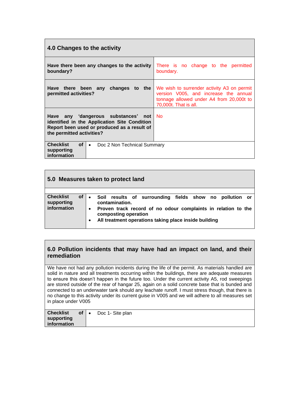| 4.0 Changes to the activity                                                                                                                                     |                                                                                                                                                          |
|-----------------------------------------------------------------------------------------------------------------------------------------------------------------|----------------------------------------------------------------------------------------------------------------------------------------------------------|
| Have there been any changes to the activity<br>boundary?                                                                                                        | There is no change to the permitted<br>boundary.                                                                                                         |
| changes to the<br>Have there been any<br>permitted activities?                                                                                                  | We wish to surrender activity A3 on permit<br>version V005, and increase the annual<br>tonnage allowed under A4 from 20,000t to<br>70,000t. That is all. |
| Have any 'dangerous substances' not<br>identified in the Application Site Condition<br>Report been used or produced as a result of<br>the permitted activities? | <b>No</b>                                                                                                                                                |
| <b>Checklist</b><br>of<br>Doc 2 Non Technical Summary<br>$\bullet$<br>supporting<br>information                                                                 |                                                                                                                                                          |

|                                                     | 5.0 Measures taken to protect land                                                                                                                                                                                                       |
|-----------------------------------------------------|------------------------------------------------------------------------------------------------------------------------------------------------------------------------------------------------------------------------------------------|
| <b>Checklist</b><br>οf<br>supporting<br>information | Soil results of surrounding fields show no pollution or<br>contamination.<br>Proven track record of no odour complaints in relation to the<br>$\bullet$<br>composting operation<br>All treatment operations taking place inside building |

## **6.0 Pollution incidents that may have had an impact on land, and their remediation**

We have not had any pollution incidents during the life of the permit. As materials handled are solid in nature and all treatments occurring within the buildings, there are adequate measures to ensure this doesn't happen in the future too. Under the current activity A5, rod sweepings are stored outside of the rear of hangar 25, again on a solid concrete base that is bunded and connected to an underwater tank should any leachate runoff. I must stress though, that there is no change to this activity under its current guise in V005 and we will adhere to all measures set in place under V005

| <b>Checklist</b><br>supporting<br>$\mid$ information | $of \,   \, .$ | Doc 1- Site plan |
|------------------------------------------------------|----------------|------------------|
|                                                      |                |                  |